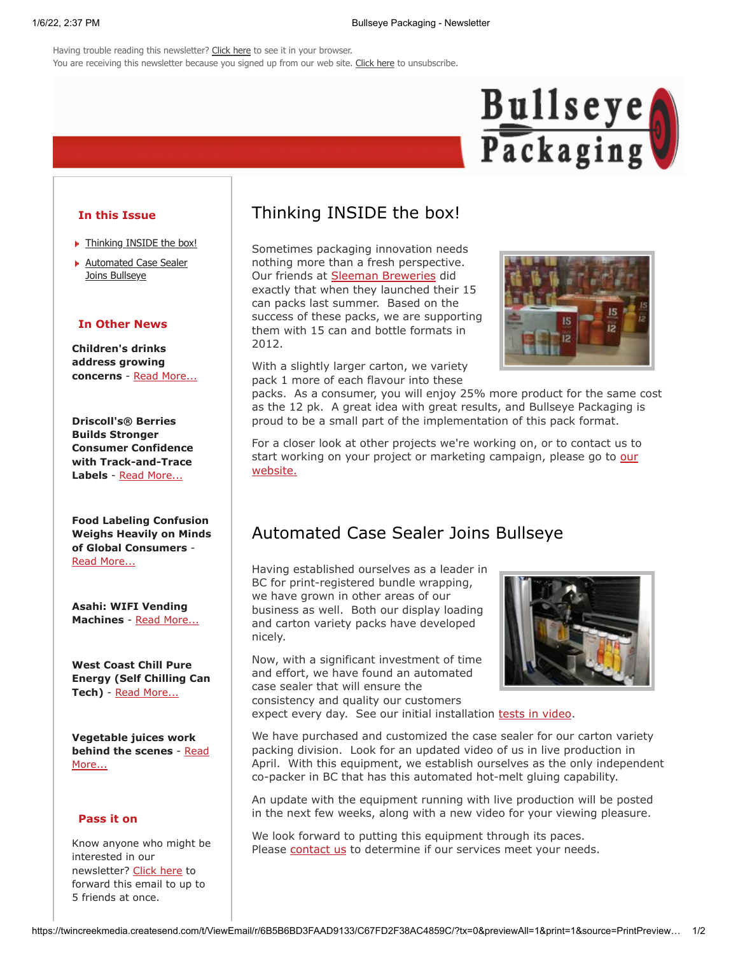Having trouble reading this newsletter? [Click here](http://bullseyepackagingservicesinc.createsend1.com/t/r/e/dlydlht/l/r/) to see it in your browser. You are receiving this newsletter because you signed up from our web site. [Click here](http://bullseyepackagingservicesinc.createsend1.com/t/r/u/dlydlht/l/y/) to unsubscribe.



#### **In this Issue**

- **Finnking INSIDE the box!**
- **[Automated Case Sealer](#page-0-1)** Joins Bullseye

### **In Other News**

**Children's drinks address growing concerns** - [Read More...](http://bullseyepackagingservicesinc.createsend1.com/t/r/l/dlydlht/l/i/)

**Driscoll's® Berries Builds Stronger Consumer Confidence with Track-and-Trace Labels** - [Read More...](http://bullseyepackagingservicesinc.createsend1.com/t/r/l/dlydlht/l/o/)

**Food Labeling Confusion Weighs Heavily on Minds of Global Consumers** - [Read More...](http://bullseyepackagingservicesinc.createsend1.com/t/r/l/dlydlht/l/b/)

**Asahi: WIFI Vending Machines** - [Read More...](http://bullseyepackagingservicesinc.createsend1.com/t/r/l/dlydlht/l/n/)

**West Coast Chill Pure Energy (Self Chilling Can Tech)** - [Read More...](http://bullseyepackagingservicesinc.createsend1.com/t/r/l/dlydlht/l/p/)

**Vegetable juices work [behind the scenes](http://bullseyepackagingservicesinc.createsend1.com/t/r/l/dlydlht/l/x/)** - Read More...

#### **Pass it on**

Know anyone who might be interested in our newsletter? [Click here](http://bullseyepackagingservicesinc.forwardtomyfriend.com/r/l-2AD73FFF-dlydlht-l/j/) to forward this email to up to 5 friends at once.

## <span id="page-0-0"></span>Thinking INSIDE the box!

Sometimes packaging innovation needs nothing more than a fresh perspective. Our friends at [Sleeman Breweries](http://bullseyepackagingservicesinc.createsend1.com/t/r/l/dlydlht/l/m/) did exactly that when they launched their 15 can packs last summer. Based on the success of these packs, we are supporting them with 15 can and bottle formats in 2012.

With a slightly larger carton, we variety pack 1 more of each flavour into these



packs. As a consumer, you will enjoy 25% more product for the same cost as the 12 pk. A great idea with great results, and Bullseye Packaging is proud to be a small part of the implementation of this pack format.

For a closer look at other projects we're working on, or to contact us to [start working on your project or marketing campaign, please go to our](http://bullseyepackagingservicesinc.createsend1.com/t/r/l/dlydlht/l/c/) website.

# <span id="page-0-1"></span>Automated Case Sealer Joins Bullseye

Having established ourselves as a leader in BC for print-registered bundle wrapping, we have grown in other areas of our business as well. Both our display loading and carton variety packs have developed nicely.

Now, with a significant investment of time and effort, we have found an automated case sealer that will ensure the consistency and quality our customers



expect every day. See our initial installation [tests in video](http://bullseyepackagingservicesinc.createsend1.com/t/r/l/dlydlht/l/q/).

We have purchased and customized the case sealer for our carton variety packing division. Look for an updated video of us in live production in April. With this equipment, we establish ourselves as the only independent co-packer in BC that has this automated hot-melt gluing capability.

An update with the equipment running with live production will be posted in the next few weeks, along with a new video for your viewing pleasure.

We look forward to putting this equipment through its paces. Please [contact us](http://bullseyepackagingservicesinc.createsend1.com/t/r/l/dlydlht/l/a/) to determine if our services meet your needs.